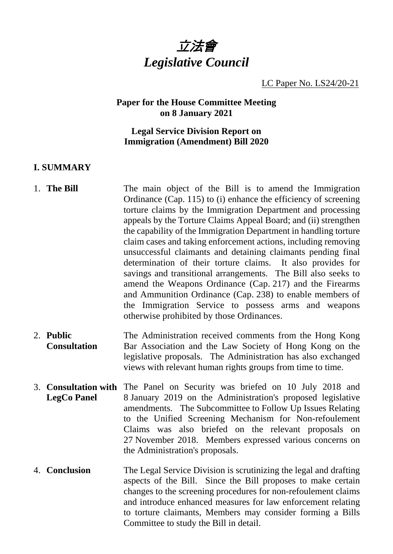

LC Paper No. LS24/20-21

#### **Paper for the House Committee Meeting on 8 January 2021**

#### **Legal Service Division Report on Immigration (Amendment) Bill 2020**

### **I. SUMMARY**

- 1. **The Bill** The main object of the Bill is to amend the Immigration Ordinance (Cap. 115) to (i) enhance the efficiency of screening torture claims by the Immigration Department and processing appeals by the Torture Claims Appeal Board; and (ii) strengthen the capability of the Immigration Department in handling torture claim cases and taking enforcement actions, including removing unsuccessful claimants and detaining claimants pending final determination of their torture claims. It also provides for savings and transitional arrangements. The Bill also seeks to amend the Weapons Ordinance (Cap. 217) and the Firearms and Ammunition Ordinance (Cap. 238) to enable members of the Immigration Service to possess arms and weapons otherwise prohibited by those Ordinances.
- 2. **Public Consultation** The Administration received comments from the Hong Kong Bar Association and the Law Society of Hong Kong on the legislative proposals. The Administration has also exchanged views with relevant human rights groups from time to time.
- 3. **Consultation with** The Panel on Security was briefed on 10 July 2018 and **LegCo Panel** 8 January 2019 on the Administration's proposed legislative amendments. The Subcommittee to Follow Up Issues Relating to the Unified Screening Mechanism for Non-refoulement Claims was also briefed on the relevant proposals on 27 November 2018. Members expressed various concerns on the Administration's proposals.
- 4. **Conclusion** The Legal Service Division is scrutinizing the legal and drafting aspects of the Bill. Since the Bill proposes to make certain changes to the screening procedures for non-refoulement claims and introduce enhanced measures for law enforcement relating to torture claimants, Members may consider forming a Bills Committee to study the Bill in detail.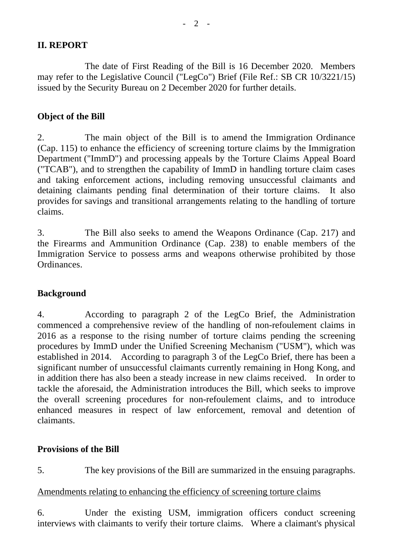## **II. REPORT**

The date of First Reading of the Bill is 16 December 2020. Members may refer to the Legislative Council ("LegCo") Brief (File Ref.: SB CR 10/3221/15) issued by the Security Bureau on 2 December 2020 for further details.

## **Object of the Bill**

2. The main object of the Bill is to amend the Immigration Ordinance (Cap. 115) to enhance the efficiency of screening torture claims by the Immigration Department ("ImmD") and processing appeals by the Torture Claims Appeal Board ("TCAB"), and to strengthen the capability of ImmD in handling torture claim cases and taking enforcement actions, including removing unsuccessful claimants and detaining claimants pending final determination of their torture claims. It also provides for savings and transitional arrangements relating to the handling of torture claims.

3. The Bill also seeks to amend the Weapons Ordinance (Cap. 217) and the Firearms and Ammunition Ordinance (Cap. 238) to enable members of the Immigration Service to possess arms and weapons otherwise prohibited by those **Ordinances** 

#### **Background**

4. According to paragraph 2 of the LegCo Brief, the Administration commenced a comprehensive review of the handling of non-refoulement claims in 2016 as a response to the rising number of torture claims pending the screening procedures by ImmD under the Unified Screening Mechanism ("USM"), which was established in 2014. According to paragraph 3 of the LegCo Brief, there has been a significant number of unsuccessful claimants currently remaining in Hong Kong, and in addition there has also been a steady increase in new claims received. In order to tackle the aforesaid, the Administration introduces the Bill, which seeks to improve the overall screening procedures for non-refoulement claims, and to introduce enhanced measures in respect of law enforcement, removal and detention of claimants.

#### **Provisions of the Bill**

5. The key provisions of the Bill are summarized in the ensuing paragraphs.

#### Amendments relating to enhancing the efficiency of screening torture claims

6. Under the existing USM, immigration officers conduct screening interviews with claimants to verify their torture claims. Where a claimant's physical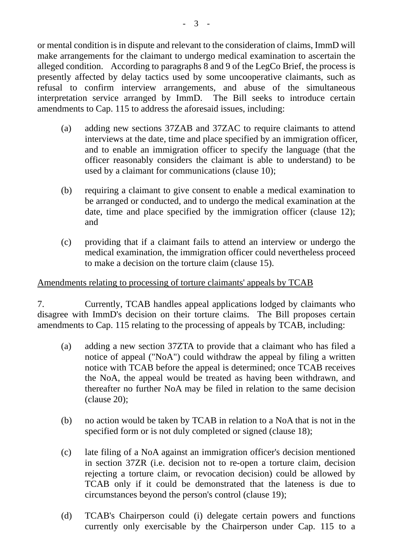or mental condition is in dispute and relevant to the consideration of claims, ImmD will make arrangements for the claimant to undergo medical examination to ascertain the alleged condition. According to paragraphs 8 and 9 of the LegCo Brief, the process is presently affected by delay tactics used by some uncooperative claimants, such as refusal to confirm interview arrangements, and abuse of the simultaneous interpretation service arranged by ImmD. The Bill seeks to introduce certain amendments to Cap. 115 to address the aforesaid issues, including:

- (a) adding new sections 37ZAB and 37ZAC to require claimants to attend interviews at the date, time and place specified by an immigration officer, and to enable an immigration officer to specify the language (that the officer reasonably considers the claimant is able to understand) to be used by a claimant for communications (clause 10);
- (b) requiring a claimant to give consent to enable a medical examination to be arranged or conducted, and to undergo the medical examination at the date, time and place specified by the immigration officer (clause 12); and
- (c) providing that if a claimant fails to attend an interview or undergo the medical examination, the immigration officer could nevertheless proceed to make a decision on the torture claim (clause 15).

#### Amendments relating to processing of torture claimants' appeals by TCAB

7. Currently, TCAB handles appeal applications lodged by claimants who disagree with ImmD's decision on their torture claims. The Bill proposes certain amendments to Cap. 115 relating to the processing of appeals by TCAB, including:

- (a) adding a new section 37ZTA to provide that a claimant who has filed a notice of appeal ("NoA") could withdraw the appeal by filing a written notice with TCAB before the appeal is determined; once TCAB receives the NoA, the appeal would be treated as having been withdrawn, and thereafter no further NoA may be filed in relation to the same decision (clause 20);
- (b) no action would be taken by TCAB in relation to a NoA that is not in the specified form or is not duly completed or signed (clause 18);
- (c) late filing of a NoA against an immigration officer's decision mentioned in section 37ZR (i.e. decision not to re-open a torture claim, decision rejecting a torture claim, or revocation decision) could be allowed by TCAB only if it could be demonstrated that the lateness is due to circumstances beyond the person's control (clause 19);
- (d) TCAB's Chairperson could (i) delegate certain powers and functions currently only exercisable by the Chairperson under Cap. 115 to a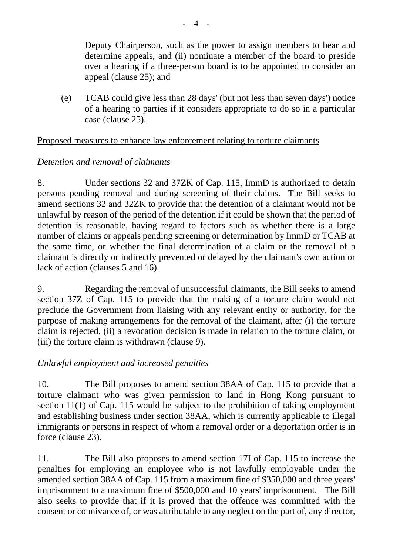Deputy Chairperson, such as the power to assign members to hear and determine appeals, and (ii) nominate a member of the board to preside over a hearing if a three-person board is to be appointed to consider an appeal (clause 25); and

(e) TCAB could give less than 28 days' (but not less than seven days') notice of a hearing to parties if it considers appropriate to do so in a particular case (clause 25).

#### Proposed measures to enhance law enforcement relating to torture claimants

## *Detention and removal of claimants*

8. Under sections 32 and 37ZK of Cap. 115, ImmD is authorized to detain persons pending removal and during screening of their claims. The Bill seeks to amend sections 32 and 32ZK to provide that the detention of a claimant would not be unlawful by reason of the period of the detention if it could be shown that the period of detention is reasonable, having regard to factors such as whether there is a large number of claims or appeals pending screening or determination by ImmD or TCAB at the same time, or whether the final determination of a claim or the removal of a claimant is directly or indirectly prevented or delayed by the claimant's own action or lack of action (clauses 5 and 16).

9. Regarding the removal of unsuccessful claimants, the Bill seeks to amend section 37Z of Cap. 115 to provide that the making of a torture claim would not preclude the Government from liaising with any relevant entity or authority, for the purpose of making arrangements for the removal of the claimant, after (i) the torture claim is rejected, (ii) a revocation decision is made in relation to the torture claim, or (iii) the torture claim is withdrawn (clause 9).

# *Unlawful employment and increased penalties*

10. The Bill proposes to amend section 38AA of Cap. 115 to provide that a torture claimant who was given permission to land in Hong Kong pursuant to section 11(1) of Cap. 115 would be subject to the prohibition of taking employment and establishing business under section 38AA, which is currently applicable to illegal immigrants or persons in respect of whom a removal order or a deportation order is in force (clause 23).

11. The Bill also proposes to amend section 17I of Cap. 115 to increase the penalties for employing an employee who is not lawfully employable under the amended section 38AA of Cap. 115 from a maximum fine of \$350,000 and three years' imprisonment to a maximum fine of \$500,000 and 10 years' imprisonment. The Bill also seeks to provide that if it is proved that the offence was committed with the consent or connivance of, or was attributable to any neglect on the part of, any director,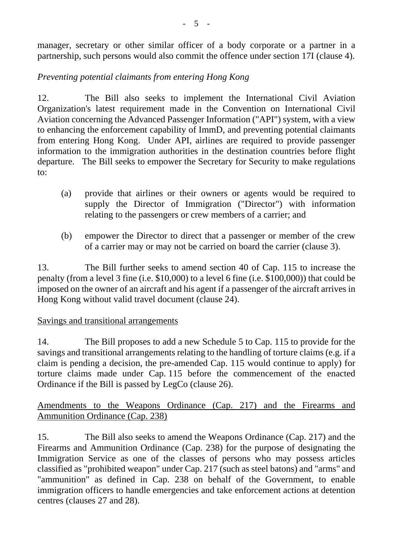manager, secretary or other similar officer of a body corporate or a partner in a partnership, such persons would also commit the offence under section 17I (clause 4).

# *Preventing potential claimants from entering Hong Kong*

12. The Bill also seeks to implement the International Civil Aviation Organization's latest requirement made in the Convention on International Civil Aviation concerning the Advanced Passenger Information ("API") system, with a view to enhancing the enforcement capability of ImmD, and preventing potential claimants from entering Hong Kong. Under API, airlines are required to provide passenger information to the immigration authorities in the destination countries before flight departure. The Bill seeks to empower the Secretary for Security to make regulations to:

- (a) provide that airlines or their owners or agents would be required to supply the Director of Immigration ("Director") with information relating to the passengers or crew members of a carrier; and
- (b) empower the Director to direct that a passenger or member of the crew of a carrier may or may not be carried on board the carrier (clause 3).

13. The Bill further seeks to amend section 40 of Cap. 115 to increase the penalty (from a level 3 fine (i.e. \$10,000) to a level 6 fine (i.e. \$100,000)) that could be imposed on the owner of an aircraft and his agent if a passenger of the aircraft arrives in Hong Kong without valid travel document (clause 24).

## Savings and transitional arrangements

14. The Bill proposes to add a new Schedule 5 to Cap. 115 to provide for the savings and transitional arrangements relating to the handling of torture claims (e.g. if a claim is pending a decision, the pre-amended Cap. 115 would continue to apply) for torture claims made under Cap. 115 before the commencement of the enacted Ordinance if the Bill is passed by LegCo (clause 26).

Amendments to the Weapons Ordinance (Cap. 217) and the Firearms and Ammunition Ordinance (Cap. 238)

15. The Bill also seeks to amend the Weapons Ordinance (Cap. 217) and the Firearms and Ammunition Ordinance (Cap. 238) for the purpose of designating the Immigration Service as one of the classes of persons who may possess articles classified as "prohibited weapon" under Cap. 217 (such as steel batons) and "arms" and "ammunition" as defined in Cap. 238 on behalf of the Government, to enable immigration officers to handle emergencies and take enforcement actions at detention centres (clauses 27 and 28).